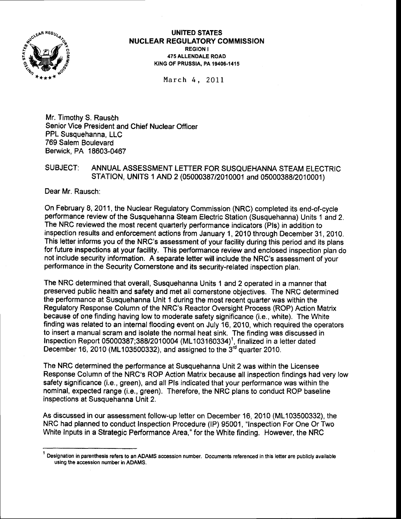

UNITED STATES NUCLEAR REGULATORY COMMISSION REGION <sup>I</sup> 475 ALLENDALE ROAD KING OF PRUSSIA, PA 19406-1415

March 4, 2OII

Mr. Timothy S. Rausch Senior Vice President and Chief Nuclear Officer PPL Susquehanna, LLC 769 Salem Boulevard Berwick, PA 18603-0467

## SUBJECT: ANNUAL ASSESSMENT LETTER FOR SUSQUEHANNA STEAM ELECTRIC STATION, UNITS 1 AND 2 (05000387/2010001 and 05000388/2010001)

Dear Mr. Rausch:

On February 8,2011, the Nuclear Regulatory Commission (NRC) completed its end-oFcycle performance review of the Susquehanna Steam Electric Station (Susquehanna) Units 1 and 2. The NRC reviewed the most recent quarterly performance indicators (Pls) in addition to inspection results and enforcement actions from January 1, 2010 through December 31, 2010. This letter informs you of the NRC's assessment of your facility during this period and its plans for future inspections at your facility. This performance review and enclosed inspection plan do not include security information. A separate letter will include the NRC's assessment of your performance in the Security Cornerstone and its security-related inspection plan.

The NRC determined that overall, Susquehanna Units 1 and 2 operated in a manner that preserved public health and safety and met all cornerstone objectives. The NRC determined the performance at Susquehanna Unit 1 during the most recent quarter was within the Regulatory Response Column of the NRC's Reactor Oversight Process (ROP) Action Matrix because of one finding having low to moderate safety significance (i.e., white). The White finding was related to an internal flooding event on July 16, 2010, which required the operators to insert a manual scram and isolate the normal heat sink. The finding was discussed in Inspection Report 05000387;388/2010004 (ML103160334)<sup>1</sup>, finalized in a letter dated December 16, 2010 (ML103500332), and assigned to the  $3<sup>rd</sup>$  quarter 2010.

The NRC determined the performance at Susquehanna Unit 2 was within the Licensee Response Column of the NRC's ROP Action Matrix because all inspection findings had very low safety significance (i.e., green), and all Pls indicated that your performance was within the nominal, expected range (i.e., green). Therefore, the NRC plans to conduct ROP baseline inspections at Susquehanna Unit 2.

As discussed in our assessment follow-up letter on December 16, 2010 (ML103500332), the NRC had planned to conduct Inspection Procedure (lP) 95001, "lnspection For One Or Two White Inputs in a Strategic Performance Area," for the White finding. However, the NRC

Designation in parenthesis refers to an ADAMS accession number. Documents referenced in this letter are publicly available using the accession number in ADAMS.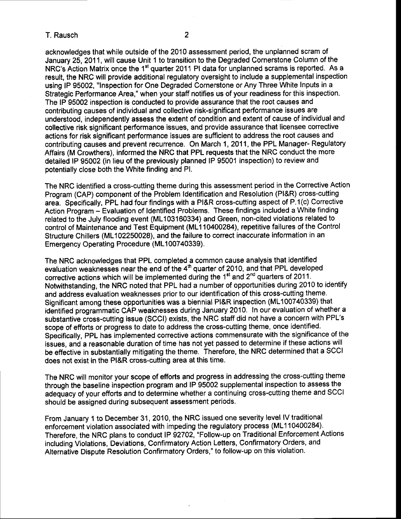T. Rausch <sup>2</sup>

acknowledges that while outside of the 2010 assessment period, the unplanned scram of January 25,2011, will cause Unit 1 to transition to the Degraded Cornerstone Column of the NRC's Action Matrix once the 1<sup>st</sup> quarter 2011 PI data for unplanned scrams is reported. As a result, the NRC will provide additional regulatory oversight to include a supplemental inspection using lP 95002, "lnspection for One Degraded Cornerstone or Any Three White Inputs in a Strategic Performance Area," when your staff notifies us of your readiness for this inspection. The lP 95002 inspection is conducted to provide assurance that the root causes and contributing causes of individual and collective risk'significant performance issues are understood, independently assess the extent of condition and extent of cause of individual and collective risk significant performance issues, and provide assurance that licensee corrective actions for risk significant performance issues are sufficient to address the root causes and contributing causes and prevent recurrence. On March 1,2011, the PPL Manager- Regulatory Affairs (M Crowthers), informed the NRC that PPL requests that the NRC conduct the more detailed lP 95002 (in lieu of the previously planned lP 95001 inspection) to review and potentially close both the White finding and Pl.

The NRC identified a cross-cutting theme during this assessment period in the Corrective Action Program (CAP) component of the Problem ldentification and Resolution (Pl&R) cross-cutting area, Specifically, PPL had four findings with a Pl&R cross-cutting aspect of P.1(c) Corrective Action Program - Evaluation of Identified Problems. These findings included a White finding related to the July flooding event (ML103160334) and Green, non-cited violations related to control of Maintenance and Test Equipment (ML1 10400284), repetitive failures of the Control Structure Chillers (ML102250028), and the failure to correct inaccurate information in an Emergency Operating Procedure (ML100740339).

The NRC acknowledges that PPL completed a common cause analysis that identified evaluation weaknesses near the end of the  $4<sup>th</sup>$  quarter of 2010, and that PPL developed corrective actions which will be implemented during the  $1<sup>st</sup>$  and  $2<sup>nd</sup>$  quarters of 2011. Notwithstanding, the NRC noted that PPL had a number of opportunities during 2010 to identify and address evaluation weaknesses prior to our identification of this cross-cutting theme. Significant among these opportunities was a biennial Pt&R inspection (ML100740339) that identified programmatic CAP weaknesses during January 2010, ln our evaluation of whether a substantive cross-cutting issue (SCCI) exists, the NRC staff did not have a concern with PPL's scope of efforts or progress to date to address the cross-cutting theme, once identified. Specifically, PPL has implemented corrective actions commensurate with the significance of the issues, and a reasonable duration of time has not yet passed to determine if these aclions will be effective in substantially mitigating the theme. Therefore, the NRC determined that a SCCI does not exist in the Pl&R cross-cutting area at this time.

The NRC will monitor your scope of efforts and progress in addressing the cross-cutting theme through the baseline inspection program and lP 95002 supplemental inspection to assess the adequacy of your efforts and to determine whether a continuing cross-cutting theme and SCCI should be assigned during subsequent assessment periods.

From January 1 to December 31, 2010, the NRC issued one severity level lV traditional enforcement violation associated with impeding the regulatory process (ML110400284). Therefore, the NRC plans to conduct lP 92702, "Follow-up on Traditional Enforcement Actions including Violations, Deviations, Confirmatory Action Letters, Confirmatory Orders, and Alternative Dispute Resolution Confirmatory Orders," to followup on this violation,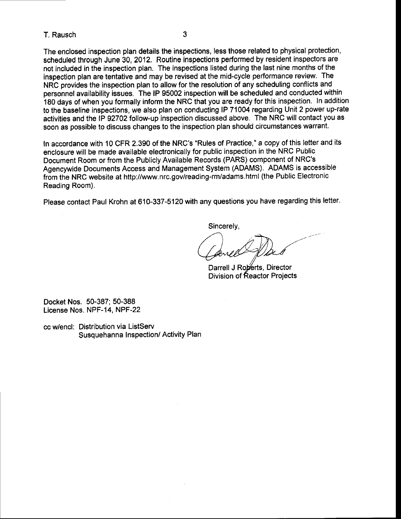## T. Rausch 3

The enclosed inspection plan details the inspections, less those related to physical protection, scheduled through June 30, 2012. Routine inspections performed by resident inspectors are not included in the inspection plan. The inspections listed during the last nine months of the inspection plan are tentative and may be revised at the mid-cycle performance review. The NRC provides the inspection plan to allow for the resolution of any scheduling conflicts and personnel availability issues. The lP 95002 inspection will be scheduled and conducted within 180 days of when you formatly inform the NRC that you are ready for this inspection. In addition to the baseline inspections, we also plan on conducting lP 71004 regarding Unit 2 power up-rate activities and the lP 92702 follow-up inspection discussed above, The NRC will contact you as soon as possible to discuss changes to the inspection plan should circumstances warrant.

In accordance with 10 CFR 2.390 of the NRC's "Rules of Practice," a copy of this letter and its enclosure will be made available electronically for public inspection in the NRC Public Document Room or from the Publicly Available Records (PARS) component of NRC's Agencywide Documents Access and Management System (ADAMS). ADAMS is accessible from the NRC website at http://www.nrc.gov/reading-rm/adams.html (the Public Electronic Reading Room).

Please contact Paul Krohn at 610-337-5120 with any questions you have regarding this letter.

Sincerely,

Darrell J Roberts, Director Division of Reactor Projects

Docket Nos. 50-387; 50-388 License Nos. NPF-14, NPF-22

cc wlencl: Distribution via ListServ Susquehanna Inspection/ Activity Plan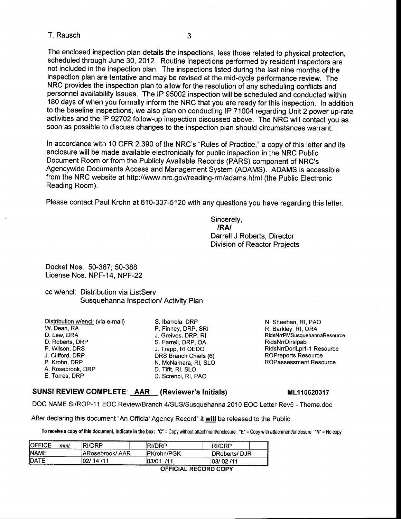### T. Rausch 3

The enclosed inspection plan details the inspections, less those related to physical protection, scheduled through June 30, 2012. Routine inspections performed by resident inspectors are not included in the inspection plan. The inspections listed during the last nine months of the inspection plan are tentative and may be revised at the mid-cycle performance review. The NRC provides the inspection plan to allow for the resolution of any scheduling conflicts and personnel availability issues. The lP 95002 inspection will be scheduled and conducted within 180 days of when you formally inform the NRC that you are ready for this inspection. In addition to the baseline inspections, we also plan on conducting lP 71004 regarding Unit 2 power up-rate activities and the lP 92702 follow-up inspection discussed above. The NRC will contact you as soon as possible to discuss changes to the inspection plan should circumstances warrant.

In accordance with 10 CFR 2.390 of the NRC's "Rules of Practice," a copy of this letter and its enclosure will be made available electronically for public inspection in the NRC Public Document Room or from the Publicly Available Records (PARS) component of NRC's Agencywide Documents Access and Management System (ADAMS). ADAMS is accessible from the NRC website at http://www.nrc.gov/reading-rm/adams.html (the Public Electronic Reading Room).

Please contact Paul Krohn at 610-337-5120 with any questions you have regarding this letter.

Sincerely, /RA/ Darrell J Roberts, Director Division of Reactor Projects

Docket Nos. 50-387; 50-388 License Nos. NPF-14, NPF-22

cc w/encl: Distribution via ListServ Susquehanna lnspection/ Activity Plan

| Distribution w/encl: (via e-mail) | S.   |
|-----------------------------------|------|
| .W. Dean, RA                      | Р.   |
| D. Lew. DRA                       | J.   |
| D. Roberts, DRP                   | S.   |
| P. Wilson, DRS                    | J. I |
| J. Clifford, DRP                  | DF   |
| P. Krohn, DRP                     | Ν.   |
| A. Rosebrook, DRP                 | D.   |
| E. Torres, DRP                    | D.   |

Ibarrola, DRP Finney, DRP, SRI Greives, DRP, RI Farrell, DRP, OA Trapp, RI OEDO RS Branch Chiefs (6) McNamara, RI, SLO Tifft, RI, SLO Screnci, RI, PAO

N. Sheehan, Rl, PAO R. Barkley, Rl, ORA RidsNrrPMSusquehannaResource RidsNrrDirslpab RidsNrrDorlLpl1-1 Resource ROPreports Resource ROPassessment Resource

#### SUNSI REVIEW COMPLETE: AAR (Reviewer's Initials) ML110620317

DOC NAME S:/ROP-11 EOC Review/Branch 4/SUS/Susquehanna 2010 EOC Letter Rev5 - Theme.doc

After declaring this document "An Official Agency Record" it will be released to the Public.

To receive a copy of this document, indicate in the box: "C" = Copy without attachment/enclosure "E" = Copy with attachment/enclosure "N" = No copy

| <b>IOFFICE</b><br>mmt | <b>RI/DRP</b>                  | _______<br>RI/DRP | ספח/וג       |  |  |  |
|-----------------------|--------------------------------|-------------------|--------------|--|--|--|
| <b>INAME</b>          | IPKrohn/PGK<br>ARosebrook/ AAR |                   | DRoberts/DJR |  |  |  |
| <b>IDATE</b>          | 02/14/11                       | .13/01<br>11 1    | 03/02 /11    |  |  |  |
|                       | <b>OFFICIAL RECORD COPY</b>    |                   |              |  |  |  |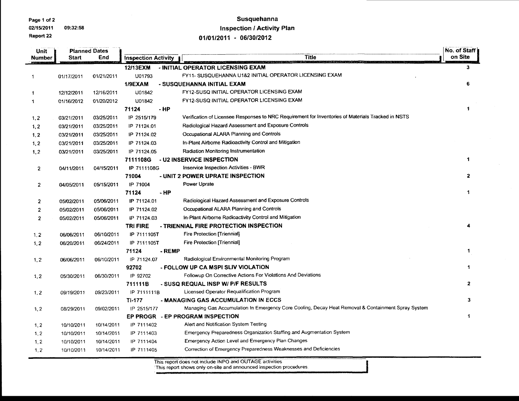Page 1 of 2

02/15/2011 09:32:58

#### Report 22

# Susquehanna **Inspection / Activity Plan**

01/01/2011 - 06/30/2012

| <b>Planned Dates</b><br>Unit<br>End<br><b>Number</b><br><b>Start</b> |            |                            |              | No. of Staff                                                                                       |                      |  |
|----------------------------------------------------------------------|------------|----------------------------|--------------|----------------------------------------------------------------------------------------------------|----------------------|--|
|                                                                      |            | <b>Inspection Activity</b> | <b>Title</b> | on Site                                                                                            |                      |  |
|                                                                      |            |                            | 12/13EXM     | - INITIAL OPERATOR LICENSING EXAM                                                                  | 3                    |  |
| -1                                                                   | 01/17/2011 | 01/21/2011                 | U01793       | FY11- SUSQUEHANNA U1&2 INITIAL OPERATOR LICENSING EXAM                                             |                      |  |
|                                                                      |            |                            | 1/9EXAM      | - SUSQUEHANNA INITIAL EXAM                                                                         | 6                    |  |
| 1                                                                    | 12/12/2011 | 12/16/2011                 | U01842       | FY12-SUSQ INITIAL OPERATOR LICENSING EXAM                                                          |                      |  |
| 1                                                                    | 01/16/2012 | 01/20/2012                 | U01842       | FY12-SUSQ INITIAL OPERATOR LICENSING EXAM                                                          |                      |  |
|                                                                      |            |                            | 71124        | $-HP$                                                                                              | 1                    |  |
| 1, 2                                                                 | 03/21/2011 | 03/25/2011                 | IP 2515/179  | Verification of Licensee Responses to NRC Requirement for Inventories of Materials Tracked in NSTS |                      |  |
| 1, 2                                                                 | 03/21/2011 | 03/25/2011                 | IP 71124.01  | Radiological Hazard Assessment and Exposure Controls                                               |                      |  |
| 1, 2                                                                 | 03/21/2011 | 03/25/2011                 | IP 71124.02  | Occupational ALARA Planning and Controls                                                           |                      |  |
| 1, 2                                                                 | 03/21/2011 | 03/25/2011                 | IP 71124.03  | In-Plant Airborne Radioactivity Control and Mitigation                                             |                      |  |
| 1, 2                                                                 | 03/21/2011 | 03/25/2011                 | IP 71124.05  | Radiation Monitoring Instrumentation                                                               |                      |  |
|                                                                      |            |                            | 7111108G     | - U2 INSERVICE INSPECTION                                                                          | $\mathbf 1$          |  |
| $\mathbf{2}$                                                         | 04/11/2011 | 04/15/2011                 | IP 7111108G  | Inservice Inspection Activities - BWR                                                              |                      |  |
|                                                                      |            |                            | 71004        | - UNIT 2 POWER UPRATE INSPECTION                                                                   | $\overline{2}$       |  |
| $\overline{2}$                                                       | 04/05/2011 | 05/15/2011                 | IP 71004     | Power Uprate                                                                                       |                      |  |
|                                                                      |            |                            | 71124        | - HP                                                                                               | $\mathbf{1}$         |  |
| $\overline{2}$                                                       | 05/02/2011 | 05/06/2011                 | IP 71124.01  | Radiological Hazard Assessment and Exposure Controls                                               |                      |  |
| 2                                                                    | 05/02/2011 | 05/06/2011                 | IP 71124.02  | Occupational ALARA Planning and Controls                                                           |                      |  |
| 2                                                                    | 05/02/2011 | 05/06/2011                 | IP 71124.03  | In-Plant Airborne Radioactivity Control and Mitigation                                             |                      |  |
|                                                                      |            |                            | TRI FIRE     | - TRIENNIAL FIRE PROTECTION INSPECTION                                                             | 4                    |  |
| 1, 2                                                                 | 06/06/2011 | 06/10/2011                 | IP 7111105T  | Fire Protection [Triennial]                                                                        |                      |  |
| 1, 2                                                                 | 06/20/2011 | 06/24/2011                 | IP 7111105T  | Fire Protection [Triennial]                                                                        |                      |  |
|                                                                      |            |                            | 71124        | - REMP                                                                                             | $\mathbf{1}$         |  |
| 1, 2                                                                 | 06/06/2011 | 06/10/2011                 | IP 71124.07  | Radiological Environmental Monitoring Program                                                      |                      |  |
|                                                                      |            |                            | 92702        | - FOLLOW UP CA MSPI SLIV VIOLATION                                                                 | $\mathbf{1}$         |  |
| 1, 2                                                                 | 05/30/2011 | 06/30/2011                 | IP 92702     | Followup On Corrective Actions For Violations And Deviations                                       |                      |  |
|                                                                      |            |                            | 711111B      | - SUSQ REQUAL INSP W/ P/F RESULTS                                                                  | $\mathbf{z}$         |  |
| 1, 2                                                                 | 09/19/2011 | 09/23/2011                 | IP 7111111B  | Licensed Operator Requalification Program                                                          |                      |  |
|                                                                      |            |                            | TI-177       | - MANAGING GAS ACCUMULATION IN ECCS                                                                | $\mathbf{3}$         |  |
| 1, 2                                                                 | 08/29/2011 | 09/02/2011                 | IP 2515/177  | Managing Gas Accumulation In Emergency Core Cooling, Decay Heat Removal & Containment Spray System |                      |  |
|                                                                      |            |                            |              | EP PROGR - EP PROGRAM INSPECTION                                                                   | $\blacktriangleleft$ |  |
| 1, 2                                                                 | 10/10/2011 | 10/14/2011                 | IP 7111402   | Alert and Notification System Testing                                                              |                      |  |
| 1, 2                                                                 | 10/10/2011 | 10/14/2011                 | IP 7111403   | Emergency Preparedness Organization Staffing and Augmentation System                               |                      |  |
| 1, 2                                                                 | 10/10/2011 | 10/14/2011                 | IP 7111404   | Emergency Action Level and Emergency Plan Changes                                                  |                      |  |
| 1, 2                                                                 | 10/10/2011 | 10/14/2011                 | IP 7111405   | Correction of Emergency Preparedness Weaknesses and Deficiencies                                   |                      |  |
|                                                                      |            |                            |              |                                                                                                    |                      |  |

This report does not include INPO and OUTAGE activities.<br>This report shows only on-site and announced inspection procedures.